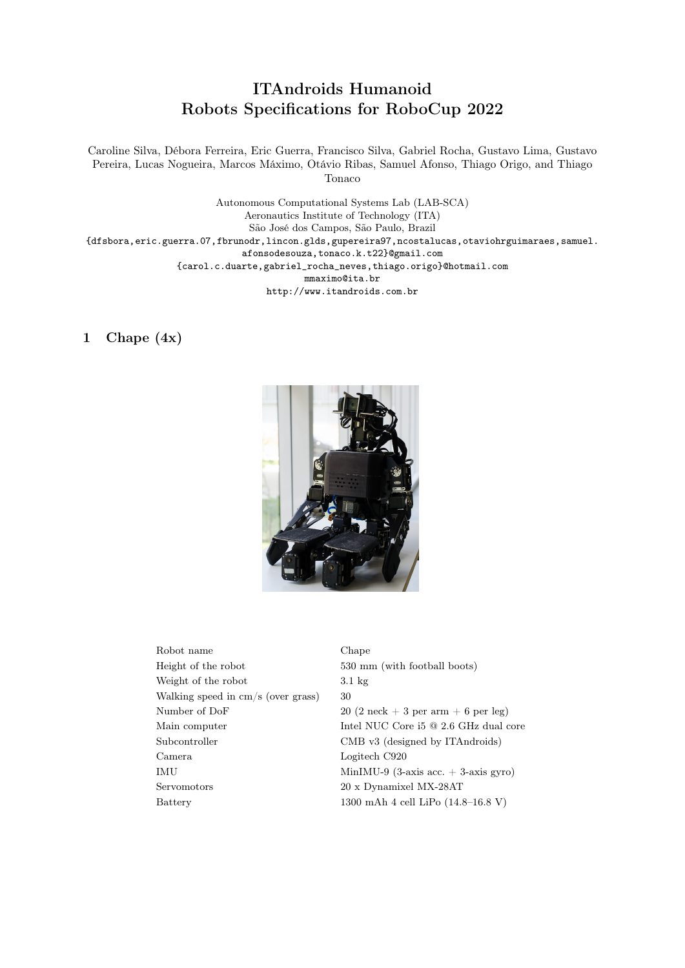## ITAndroids Humanoid Robots Specifications for RoboCup 2022

Caroline Silva, Débora Ferreira, Eric Guerra, Francisco Silva, Gabriel Rocha, Gustavo Lima, Gustavo Pereira, Lucas Nogueira, Marcos Máximo, Otávio Ribas, Samuel Afonso, Thiago Origo, and Thiago Tonaco

Autonomous Computational Systems Lab (LAB-SCA) Aeronautics Institute of Technology (ITA) São José dos Campos, São Paulo, Brazil {dfsbora,eric.guerra.07,fbrunodr,lincon.glds,gupereira97,ncostalucas,otaviohrguimaraes,samuel. afonsodesouza,tonaco.k.t22}@gmail.com {carol.c.duarte,gabriel\_rocha\_neves,thiago.origo}@hotmail.com mmaximo@ita.br http://www.itandroids.com.br

## 1 Chape (4x)



| Robot name                         | Cl  |
|------------------------------------|-----|
| Height of the robot                | 53  |
| Weight of the robot                | 3.1 |
| Walking speed in cm/s (over grass) | 30  |
| Number of DoF                      | 20  |
| Main computer                      | In  |
| Subcontroller                      | СI  |
| Camera                             | Lc  |
| IMU                                | М   |
| Servomotors                        | 20  |
| Battery                            | 13  |
|                                    |     |

Chape 530 mm (with football boots)  $3.1 \text{ kg}$  $20(2 \text{ neck} + 3 \text{ per arm} + 6 \text{ per leg})$ Intel NUC Core i5  $@$  2.6 GHz dual core CMB v3 (designed by ITAndroids) Logitech C920  $MinIMU-9$  (3-axis acc.  $+$  3-axis gyro) 20 x Dynamixel MX-28AT 1300 mAh 4 cell LiPo  $(14.8-16.8 V)$